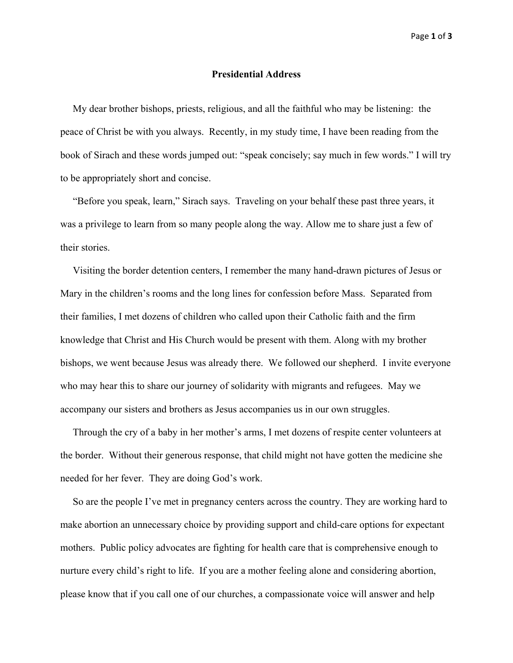## **Presidential Address**

 My dear brother bishops, priests, religious, and all the faithful who may be listening: the peace of Christ be with you always. Recently, in my study time, I have been reading from the book of Sirach and these words jumped out: "speak concisely; say much in few words." I will try to be appropriately short and concise.

 "Before you speak, learn," Sirach says. Traveling on your behalf these past three years, it was a privilege to learn from so many people along the way. Allow me to share just a few of their stories.

 Visiting the border detention centers, I remember the many hand-drawn pictures of Jesus or Mary in the children's rooms and the long lines for confession before Mass. Separated from their families, I met dozens of children who called upon their Catholic faith and the firm knowledge that Christ and His Church would be present with them. Along with my brother bishops, we went because Jesus was already there. We followed our shepherd. I invite everyone who may hear this to share our journey of solidarity with migrants and refugees. May we accompany our sisters and brothers as Jesus accompanies us in our own struggles.

 Through the cry of a baby in her mother's arms, I met dozens of respite center volunteers at the border. Without their generous response, that child might not have gotten the medicine she needed for her fever. They are doing God's work.

 So are the people I've met in pregnancy centers across the country. They are working hard to make abortion an unnecessary choice by providing support and child-care options for expectant mothers. Public policy advocates are fighting for health care that is comprehensive enough to nurture every child's right to life. If you are a mother feeling alone and considering abortion, please know that if you call one of our churches, a compassionate voice will answer and help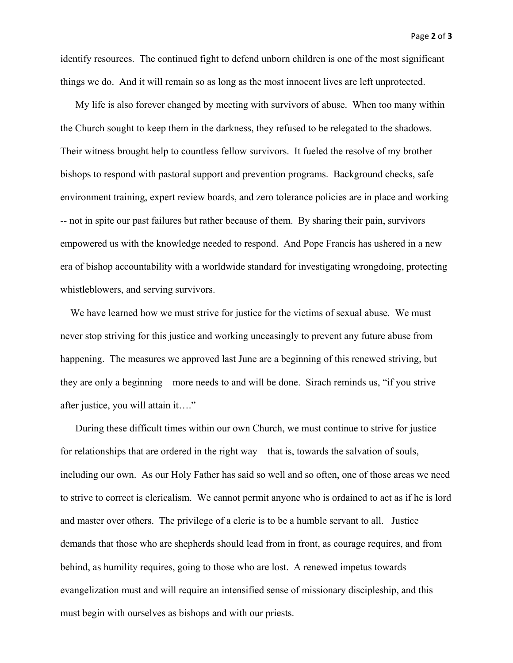identify resources. The continued fight to defend unborn children is one of the most significant things we do. And it will remain so as long as the most innocent lives are left unprotected.

 My life is also forever changed by meeting with survivors of abuse. When too many within the Church sought to keep them in the darkness, they refused to be relegated to the shadows. Their witness brought help to countless fellow survivors. It fueled the resolve of my brother bishops to respond with pastoral support and prevention programs. Background checks, safe environment training, expert review boards, and zero tolerance policies are in place and working -- not in spite our past failures but rather because of them. By sharing their pain, survivors empowered us with the knowledge needed to respond. And Pope Francis has ushered in a new era of bishop accountability with a worldwide standard for investigating wrongdoing, protecting whistleblowers, and serving survivors.

 We have learned how we must strive for justice for the victims of sexual abuse. We must never stop striving for this justice and working unceasingly to prevent any future abuse from happening. The measures we approved last June are a beginning of this renewed striving, but they are only a beginning – more needs to and will be done. Sirach reminds us, "if you strive after justice, you will attain it…."

 During these difficult times within our own Church, we must continue to strive for justice – for relationships that are ordered in the right way – that is, towards the salvation of souls, including our own. As our Holy Father has said so well and so often, one of those areas we need to strive to correct is clericalism. We cannot permit anyone who is ordained to act as if he is lord and master over others. The privilege of a cleric is to be a humble servant to all. Justice demands that those who are shepherds should lead from in front, as courage requires, and from behind, as humility requires, going to those who are lost. A renewed impetus towards evangelization must and will require an intensified sense of missionary discipleship, and this must begin with ourselves as bishops and with our priests.